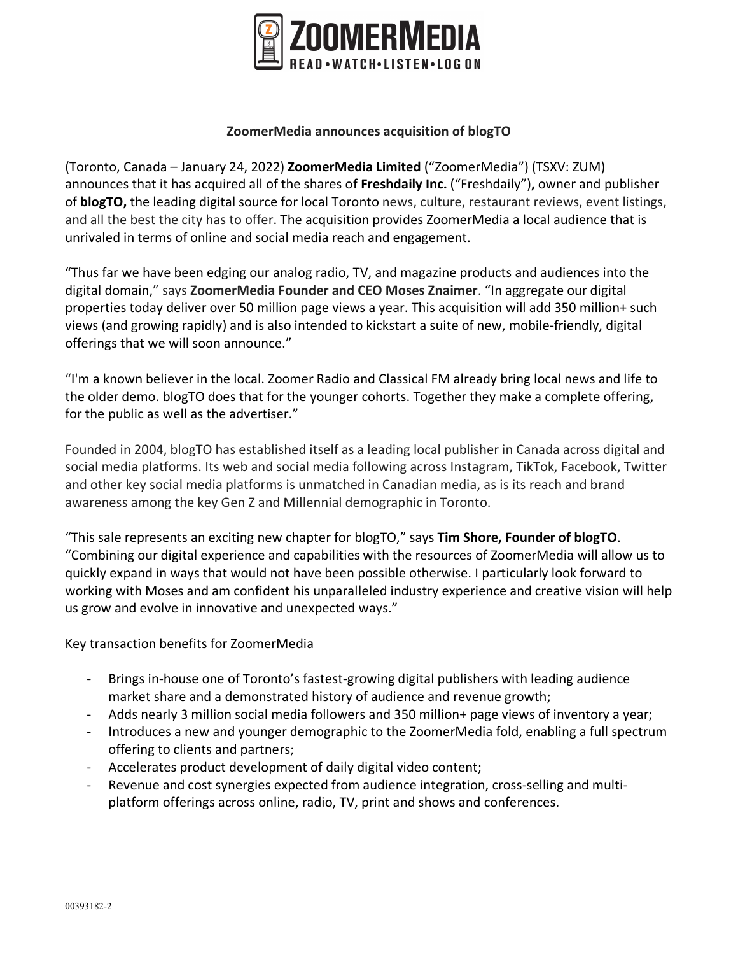

### **ZoomerMedia announces acquisition of blogTO**

(Toronto, Canada – January 24, 2022) **ZoomerMedia Limited** ("ZoomerMedia") (TSXV: ZUM) announces that it has acquired all of the shares of **Freshdaily Inc.** ("Freshdaily")**,** owner and publisher of **blogTO,** the leading digital source for local Toronto news, culture, restaurant reviews, event listings, and all the best the city has to offer. The acquisition provides ZoomerMedia a local audience that is unrivaled in terms of online and social media reach and engagement.

"Thus far we have been edging our analog radio, TV, and magazine products and audiences into the digital domain," says **ZoomerMedia Founder and CEO Moses Znaimer**. "In aggregate our digital properties today deliver over 50 million page views a year. This acquisition will add 350 million+ such views (and growing rapidly) and is also intended to kickstart a suite of new, mobile-friendly, digital offerings that we will soon announce."

"I'm a known believer in the local. Zoomer Radio and Classical FM already bring local news and life to the older demo. blogTO does that for the younger cohorts. Together they make a complete offering, for the public as well as the advertiser."

Founded in 2004, blogTO has established itself as a leading local publisher in Canada across digital and social media platforms. Its web and social media following across Instagram, TikTok, Facebook, Twitter and other key social media platforms is unmatched in Canadian media, as is its reach and brand awareness among the key Gen Z and Millennial demographic in Toronto.

"This sale represents an exciting new chapter for blogTO," says **Tim Shore, Founder of blogTO**. "Combining our digital experience and capabilities with the resources of ZoomerMedia will allow us to quickly expand in ways that would not have been possible otherwise. I particularly look forward to working with Moses and am confident his unparalleled industry experience and creative vision will help us grow and evolve in innovative and unexpected ways."

Key transaction benefits for ZoomerMedia

- Brings in-house one of Toronto's fastest-growing digital publishers with leading audience market share and a demonstrated history of audience and revenue growth;
- Adds nearly 3 million social media followers and 350 million+ page views of inventory a year;
- Introduces a new and younger demographic to the ZoomerMedia fold, enabling a full spectrum offering to clients and partners;
- Accelerates product development of daily digital video content;
- Revenue and cost synergies expected from audience integration, cross-selling and multiplatform offerings across online, radio, TV, print and shows and conferences.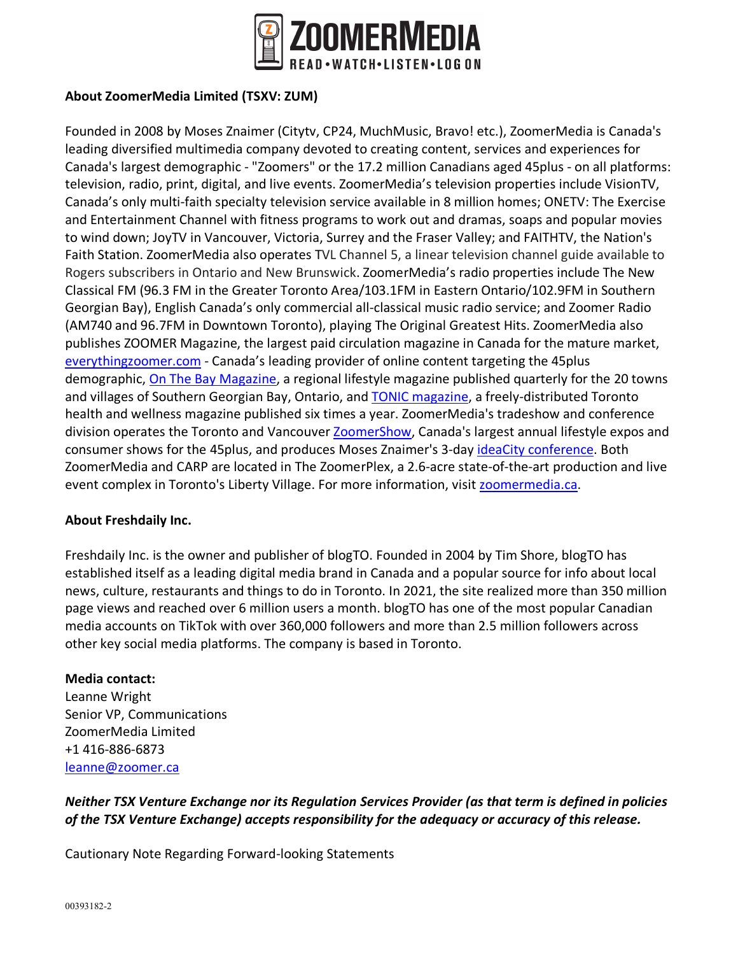

## **About ZoomerMedia Limited (TSXV: ZUM)**

Founded in 2008 by Moses Znaimer (Citytv, CP24, MuchMusic, Bravo! etc.), ZoomerMedia is Canada's leading diversified multimedia company devoted to creating content, services and experiences for Canada's largest demographic - "Zoomers" or the 17.2 million Canadians aged 45plus - on all platforms: television, radio, print, digital, and live events. ZoomerMedia's television properties include VisionTV, Canada's only multi-faith specialty television service available in 8 million homes; ONETV: The Exercise and Entertainment Channel with fitness programs to work out and dramas, soaps and popular movies to wind down; JoyTV in Vancouver, Victoria, Surrey and the Fraser Valley; and FAITHTV, the Nation's Faith Station. ZoomerMedia also operates TVL Channel 5, a linear television channel guide available to Rogers subscribers in Ontario and New Brunswick. ZoomerMedia's radio properties include The New Classical FM (96.3 FM in the Greater Toronto Area/103.1FM in Eastern Ontario/102.9FM in Southern Georgian Bay), English Canada's only commercial all-classical music radio service; and Zoomer Radio (AM740 and 96.7FM in Downtown Toronto), playing The Original Greatest Hits. ZoomerMedia also publishes ZOOMER Magazine, the largest paid circulation magazine in Canada for the mature market, everythingzoomer.com - Canada's leading provider of online content targeting the 45plus demographic, On The Bay Magazine, a regional lifestyle magazine published quarterly for the 20 towns and villages of Southern Georgian Bay, Ontario, and TONIC magazine, a freely-distributed Toronto health and wellness magazine published six times a year. ZoomerMedia's tradeshow and conference division operates the Toronto and Vancouver ZoomerShow, Canada's largest annual lifestyle expos and consumer shows for the 45plus, and produces Moses Znaimer's 3-day ideaCity conference. Both ZoomerMedia and CARP are located in The ZoomerPlex, a 2.6-acre state-of-the-art production and live event complex in Toronto's Liberty Village. For more information, visit zoomermedia.ca.

### **About Freshdaily Inc.**

Freshdaily Inc. is the owner and publisher of blogTO. Founded in 2004 by Tim Shore, blogTO has established itself as a leading digital media brand in Canada and a popular source for info about local news, culture, restaurants and things to do in Toronto. In 2021, the site realized more than 350 million page views and reached over 6 million users a month. blogTO has one of the most popular Canadian media accounts on TikTok with over 360,000 followers and more than 2.5 million followers across other key social media platforms. The company is based in Toronto.

### **Media contact:**

Leanne Wright Senior VP, Communications ZoomerMedia Limited +1 416-886-6873 leanne@zoomer.ca

# *Neither TSX Venture Exchange nor its Regulation Services Provider (as that term is defined in policies of the TSX Venture Exchange) accepts responsibility for the adequacy or accuracy of this release.*

Cautionary Note Regarding Forward-looking Statements